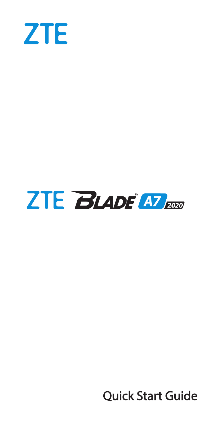

# **ZTE BLADE AT 2000**

**Quick Start Guide**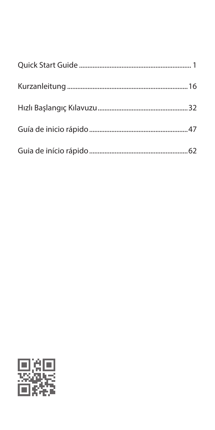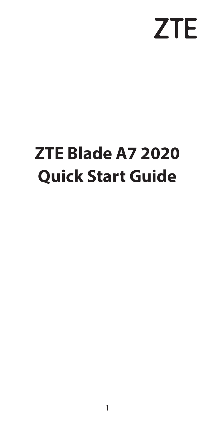# **ZTE**

# <span id="page-2-0"></span>**ZTE Blade A7 2020 Quick Start Guide**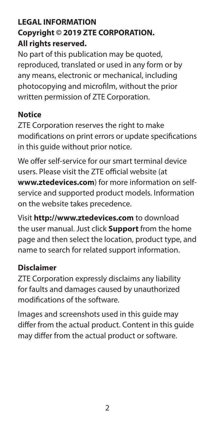#### **LEGAL INFORMATION Copyright © 2019 ZTE CORPORATION. All rights reserved.**

No part of this publication may be quoted, reproduced, translated or used in any form or by any means, electronic or mechanical, including photocopying and microfilm, without the prior written permission of ZTE Corporation.

#### **Notice**

ZTE Corporation reserves the right to make modifications on print errors or update specifications in this guide without prior notice.

We offer self-service for our smart terminal device users. Please visit the ZTE official website (at **www.ztedevices.com**) for more information on selfservice and supported product models. Information on the website takes precedence.

Visit **http://www.ztedevices.com** to download the user manual. Just click **Support** from the home page and then select the location, product type, and name to search for related support information.

#### **Disclaimer**

ZTE Corporation expressly disclaims any liability for faults and damages caused by unauthorized modifications of the software.

Images and screenshots used in this guide may differ from the actual product. Content in this guide may differ from the actual product or software.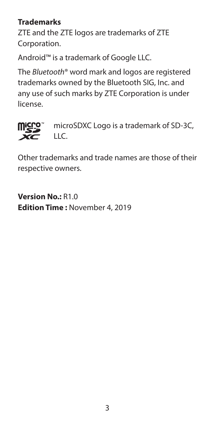#### **Trademarks**

ZTE and the ZTE logos are trademarks of ZTE Corporation.

Android™ is a trademark of Google LLC.

The *Bluetooth*® word mark and logos are registered trademarks owned by the Bluetooth SIG, Inc. and any use of such marks by ZTE Corporation is under license.



 microSDXC Logo is a trademark of SD-3C, LLC.

Other trademarks and trade names are those of their respective owners.

**Version No.:** R1.0 **Edition Time :** November 4, 2019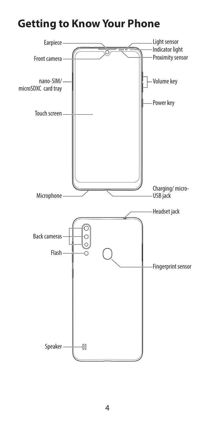## **Getting to Know Your Phone**

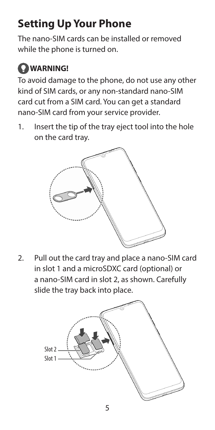## **Setting Up Your Phone**

The nano-SIM cards can be installed or removed while the phone is turned on.

## **WARNING!**

To avoid damage to the phone, do not use any other kind of SIM cards, or any non-standard nano-SIM card cut from a SIM card. You can get a standard nano-SIM card from your service provider.

1. Insert the tip of the tray eject tool into the hole on the card tray.



2. Pull out the card tray and place a nano-SIM card in slot 1 and a microSDXC card (optional) or a nano-SIM card in slot 2, as shown. Carefully slide the tray back into place.

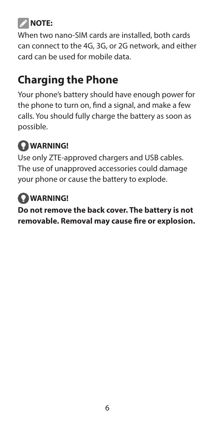## **NOTE:**

When two nano-SIM cards are installed, both cards can connect to the 4G, 3G, or 2G network, and either card can be used for mobile data.

## **Charging the Phone**

Your phone's battery should have enough power for the phone to turn on, find a signal, and make a few calls. You should fully charge the battery as soon as possible.

## **WARNING!**

Use only ZTE-approved chargers and USB cables. The use of unapproved accessories could damage your phone or cause the battery to explode.

## **WARNING!**

**Do not remove the back cover. The battery is not removable. Removal may cause fire or explosion.**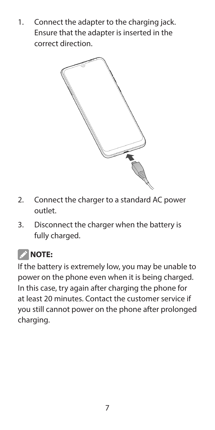1. Connect the adapter to the charging jack. Ensure that the adapter is inserted in the correct direction.



- 2. Connect the charger to a standard AC power outlet.
- 3. Disconnect the charger when the battery is fully charged.

## **2** NOTE:

If the battery is extremely low, you may be unable to power on the phone even when it is being charged. In this case, try again after charging the phone for at least 20 minutes. Contact the customer service if you still cannot power on the phone after prolonged charging.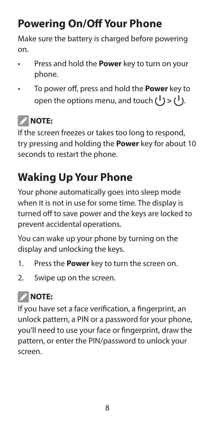## **Powering On/Off Your Phone**

Make sure the battery is charged before powering on.

- Press and hold the **Power** key to turn on your phone.
- To power off, press and hold the **Power** key to open the options menu, and touch  $(1)$  >  $(1)$ .

## **Z** NOTE:

If the screen freezes or takes too long to respond, try pressing and holding the **Power** key for about 10 seconds to restart the phone.

## **Waking Up Your Phone**

Your phone automatically goes into sleep mode when it is not in use for some time. The display is turned off to save power and the keys are locked to prevent accidental operations.

You can wake up your phone by turning on the display and unlocking the keys.

- 1. Press the **Power** key to turn the screen on.
- 2. Swipe up on the screen.

## **2** NOTE:

If you have set a face verification, a fingerprint, an unlock pattern, a PIN or a password for your phone, you'll need to use your face or fingerprint, draw the pattern, or enter the PIN/password to unlock your screen.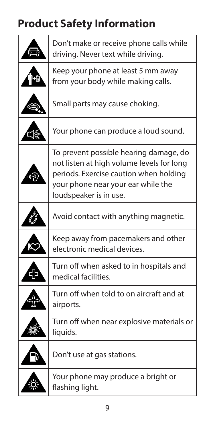## **Product Safety Information**

|   | Don't make or receive phone calls while<br>driving. Never text while driving.                                                                                                                 |
|---|-----------------------------------------------------------------------------------------------------------------------------------------------------------------------------------------------|
|   | Keep your phone at least 5 mm away<br>from your body while making calls.                                                                                                                      |
|   | Small parts may cause choking.                                                                                                                                                                |
| K | Your phone can produce a loud sound.                                                                                                                                                          |
|   | To prevent possible hearing damage, do<br>not listen at high volume levels for long<br>periods. Exercise caution when holding<br>your phone near your ear while the<br>loudspeaker is in use. |
|   | Avoid contact with anything magnetic.                                                                                                                                                         |
|   | Keep away from pacemakers and other<br>electronic medical devices.                                                                                                                            |
|   | Turn off when asked to in hospitals and<br>medical facilities.                                                                                                                                |
|   | Turn off when told to on aircraft and at<br>airports.                                                                                                                                         |
|   | Turn off when near explosive materials or<br>liquids.                                                                                                                                         |
|   | Don't use at gas stations.                                                                                                                                                                    |
|   | Your phone may produce a bright or<br>flashing light.                                                                                                                                         |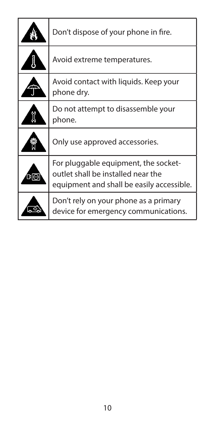|    | Don't dispose of your phone in fire.                                                                                    |
|----|-------------------------------------------------------------------------------------------------------------------------|
|    | Avoid extreme temperatures.                                                                                             |
|    | Avoid contact with liquids. Keep your<br>phone dry.                                                                     |
|    | Do not attempt to disassemble your<br>phone.                                                                            |
|    | Only use approved accessories.                                                                                          |
| пю | For pluggable equipment, the socket-<br>outlet shall be installed near the<br>equipment and shall be easily accessible. |
|    | Don't rely on your phone as a primary<br>device for emergency communications.                                           |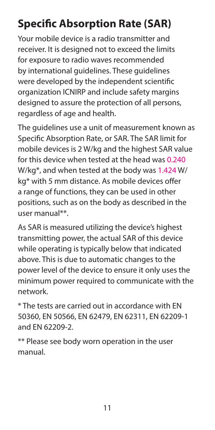## **Specific Absorption Rate (SAR)**

Your mobile device is a radio transmitter and receiver. It is designed not to exceed the limits for exposure to radio waves recommended by international guidelines. These guidelines were developed by the independent scientific organization ICNIRP and include safety margins designed to assure the protection of all persons. regardless of age and health.

The guidelines use a unit of measurement known as Specific Absorption Rate, or SAR. The SAR limit for mobile devices is 2 W/kg and the highest SAR value for this device when tested at the head was 0.240 W/kg\*, and when tested at the body was 1.424 W/ kg\* with 5 mm distance. As mobile devices offer a range of functions, they can be used in other positions, such as on the body as described in the user manual\*\*.

As SAR is measured utilizing the device's highest transmitting power, the actual SAR of this device while operating is typically below that indicated above. This is due to automatic changes to the power level of the device to ensure it only uses the minimum power required to communicate with the network.

\* The tests are carried out in accordance with EN 50360, EN 50566, EN 62479, EN 62311, EN 62209-1 and EN 62209-2.

\*\* Please see body worn operation in the user manual.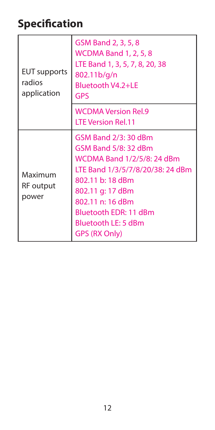## **Specification**

| <b>EUT</b> supports<br>radios<br>application | GSM Band 2, 3, 5, 8<br><b>WCDMA Band 1, 2, 5, 8</b><br>LTE Band 1, 3, 5, 7, 8, 20, 38<br>802.11b/g/n<br>Bluetooth V4.2+LE<br>GPS                                                                                                                   |
|----------------------------------------------|----------------------------------------------------------------------------------------------------------------------------------------------------------------------------------------------------------------------------------------------------|
|                                              | <b>WCDMA Version Rel.9</b><br><b>LTE Version Rel.11</b>                                                                                                                                                                                            |
| Maximum<br>RF output<br>power                | GSM Band 2/3: 30 dBm<br>GSM Band 5/8: 32 dBm<br><b>WCDMA Band 1/2/5/8: 24 dBm</b><br>LTE Band 1/3/5/7/8/20/38: 24 dBm<br>802.11 b: 18 dBm<br>802.11 g: 17 dBm<br>802.11 n: 16 dBm<br>Bluetooth EDR: 11 dBm<br>Bluetooth LE: 5 dBm<br>GPS (RX Only) |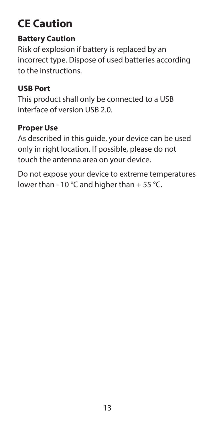## **CE Caution**

#### **Battery Caution**

Risk of explosion if battery is replaced by an incorrect type. Dispose of used batteries according to the instructions.

#### **USB Port**

This product shall only be connected to a USB interface of version USB 2.0.

#### **Proper Use**

As described in this guide, your device can be used only in right location. If possible, please do not touch the antenna area on your device.

Do not expose your device to extreme temperatures lower than - 10 °C and higher than + 55 °C.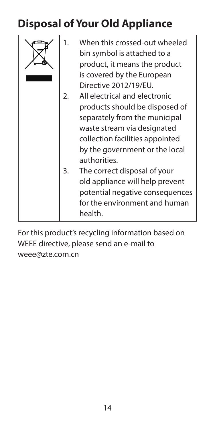## **Disposal of Your Old Appliance**

| 1. | When this crossed-out wheeled<br>bin symbol is attached to a<br>product, it means the product<br>is covered by the European<br>Directive 2012/19/EU. |
|----|------------------------------------------------------------------------------------------------------------------------------------------------------|
| 2. | All electrical and electronic                                                                                                                        |
|    | products should be disposed of                                                                                                                       |
|    | separately from the municipal                                                                                                                        |
|    | waste stream via designated                                                                                                                          |
|    | collection facilities appointed                                                                                                                      |
|    | by the government or the local<br>authorities.                                                                                                       |
| 3. | The correct disposal of your                                                                                                                         |
|    | old appliance will help prevent                                                                                                                      |
|    | potential negative consequences                                                                                                                      |
|    | for the environment and human                                                                                                                        |
|    | health.                                                                                                                                              |

For this product's recycling information based on WEEE directive, please send an e-mail to weee@zte.com.cn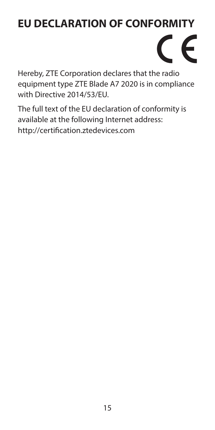## **EU DECLARATION OF CONFORMITY**



Hereby, ZTE Corporation declares that the radio equipment type ZTE Blade A7 2020 is in compliance with Directive 2014/53/EU.

The full text of the EU declaration of conformity is available at the following Internet address: http://certification.ztedevices.com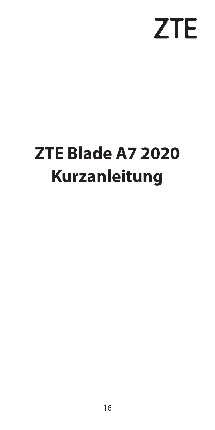# **ZTE**

# <span id="page-17-0"></span>**ZTE Blade A7 2020 Kurzanleitung**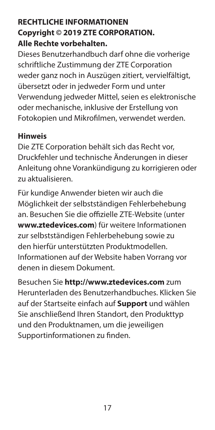#### **RECHTLICHE INFORMATIONEN Copyright © 2019 ZTE CORPORATION. Alle Rechte vorbehalten.**

Dieses Benutzerhandbuch darf ohne die vorherige schriftliche Zustimmung der ZTE Corporation weder ganz noch in Auszügen zitiert, vervielfältigt, übersetzt oder in jedweder Form und unter Verwendung jedweder Mittel, seien es elektronische oder mechanische, inklusive der Erstellung von Fotokopien und Mikrofilmen, verwendet werden.

#### **Hinweis**

Die ZTE Corporation behält sich das Recht vor, Druckfehler und technische Änderungen in dieser Anleitung ohne Vorankündigung zu korrigieren oder zu aktualisieren.

Für kundige Anwender bieten wir auch die Möglichkeit der selbstständigen Fehlerbehebung an. Besuchen Sie die offizielle ZTE-Website (unter **www.ztedevices.com**) für weitere Informationen zur selbstständigen Fehlerbehebung sowie zu den hierfür unterstützten Produktmodellen. Informationen auf der Website haben Vorrang vor denen in diesem Dokument.

Besuchen Sie **http://www.ztedevices.com** zum Herunterladen des Benutzerhandbuches. Klicken Sie auf der Startseite einfach auf **Support** und wählen Sie anschließend Ihren Standort, den Produkttyp und den Produktnamen, um die jeweiligen Supportinformationen zu finden.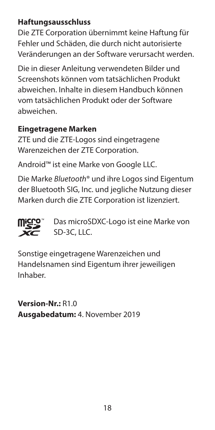#### **Haftungsausschluss**

Die ZTE Corporation übernimmt keine Haftung für Fehler und Schäden, die durch nicht autorisierte Veränderungen an der Software verursacht werden.

Die in dieser Anleitung verwendeten Bilder und Screenshots können vom tatsächlichen Produkt abweichen. Inhalte in diesem Handbuch können vom tatsächlichen Produkt oder der Software abweichen.

#### **Eingetragene Marken**

ZTE und die ZTE-Logos sind eingetragene Warenzeichen der ZTE Corporation.

Android™ ist eine Marke von Google LLC.

Die Marke *Bluetooth*® und ihre Logos sind Eigentum der Bluetooth SIG, Inc. und jegliche Nutzung dieser Marken durch die ZTE Corporation ist lizenziert.



 Das microSDXC-Logo ist eine Marke von SD-3C, LLC.

Sonstige eingetragene Warenzeichen und Handelsnamen sind Eigentum ihrer jeweiligen Inhaber.

**Version-Nr.:** R1.0 **Ausgabedatum:** 4. November 2019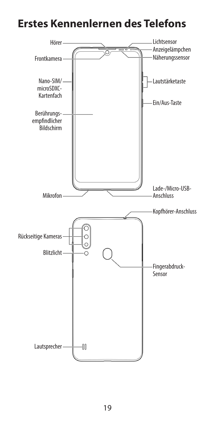## **Erstes Kennenlernen des Telefons**

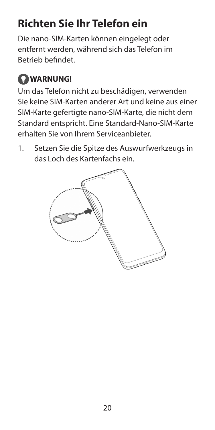## **Richten Sie Ihr Telefon ein**

Die nano-SIM-Karten können eingelegt oder entfernt werden, während sich das Telefon im Betrieb befindet.

## **WARNUNG!**

Um das Telefon nicht zu beschädigen, verwenden Sie keine SIM-Karten anderer Art und keine aus einer SIM-Karte gefertigte nano-SIM-Karte, die nicht dem Standard entspricht. Eine Standard-Nano-SIM-Karte erhalten Sie von Ihrem Serviceanbieter.

1. Setzen Sie die Spitze des Auswurfwerkzeugs in das Loch des Kartenfachs ein.

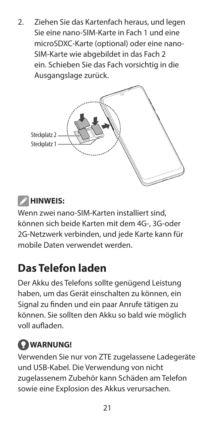2. Ziehen Sie das Kartenfach heraus, und legen Sie eine nano-SIM-Karte in Fach 1 und eine microSDXC-Karte (optional) oder eine nano-SIM-Karte wie abgebildet in das Fach 2 ein. Schieben Sie das Fach vorsichtig in die Ausgangslage zurück.



## *B* HINWEIS:

Wenn zwei nano-SIM-Karten installiert sind, können sich beide Karten mit dem 4G-, 3G-oder 2G-Netzwerk verbinden, und jede Karte kann für mobile Daten verwendet werden.

## **Das Telefon laden**

Der Akku des Telefons sollte genügend Leistung haben, um das Gerät einschalten zu können, ein Signal zu finden und ein paar Anrufe tätigen zu können. Sie sollten den Akku so bald wie möglich voll aufladen.

#### **WARNUNG!**

Verwenden Sie nur von ZTE zugelassene Ladegeräte und USB-Kabel. Die Verwendung von nicht zugelassenem Zubehör kann Schäden am Telefon sowie eine Explosion des Akkus verursachen.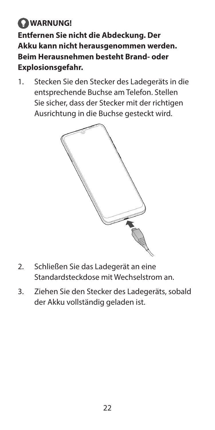**WARNUNG! Entfernen Sie nicht die Abdeckung. Der Akku kann nicht herausgenommen werden. Beim Herausnehmen besteht Brand- oder Explosionsgefahr.**

1. Stecken Sie den Stecker des Ladegeräts in die entsprechende Buchse am Telefon. Stellen Sie sicher, dass der Stecker mit der richtigen Ausrichtung in die Buchse gesteckt wird.



- 2. Schließen Sie das Ladegerät an eine Standardsteckdose mit Wechselstrom an.
- 3. Ziehen Sie den Stecker des Ladegeräts, sobald der Akku vollständig geladen ist.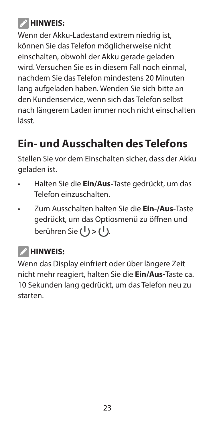## **HINWEIS:**

Wenn der Akku-Ladestand extrem niedrig ist, können Sie das Telefon möglicherweise nicht einschalten, obwohl der Akku gerade geladen wird. Versuchen Sie es in diesem Fall noch einmal, nachdem Sie das Telefon mindestens 20 Minuten lang aufgeladen haben. Wenden Sie sich bitte an den Kundenservice, wenn sich das Telefon selbst nach längerem Laden immer noch nicht einschalten lässt.

## **Ein- und Ausschalten des Telefons**

Stellen Sie vor dem Einschalten sicher, dass der Akku geladen ist.

- Halten Sie die **Ein/Aus-**Taste gedrückt, um das Telefon einzuschalten.
- Zum Ausschalten halten Sie die **Ein-/Aus-**Taste gedrückt, um das Optiosmenü zu öffnen und berühren Sie (<sup>1</sup>) > (<sup>1</sup>).

## *B* HINWEIS:

Wenn das Display einfriert oder über längere Zeit nicht mehr reagiert, halten Sie die **Ein/Aus-**Taste ca. 10 Sekunden lang gedrückt, um das Telefon neu zu starten.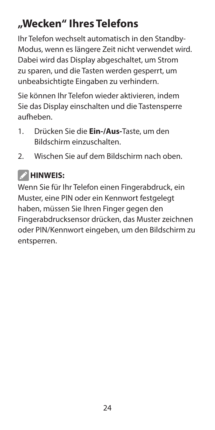## **"Wecken" Ihres Telefons**

Ihr Telefon wechselt automatisch in den Standby-Modus, wenn es längere Zeit nicht verwendet wird. Dabei wird das Display abgeschaltet, um Strom zu sparen, und die Tasten werden gesperrt, um unbeabsichtigte Eingaben zu verhindern.

Sie können Ihr Telefon wieder aktivieren, indem Sie das Display einschalten und die Tastensperre aufheben.

- 1. Drücken Sie die **Ein-/Aus-**Taste, um den Bildschirm einzuschalten.
- 2. Wischen Sie auf dem Bildschirm nach oben.

## *A* HINWEIS:

Wenn Sie für Ihr Telefon einen Fingerabdruck, ein Muster, eine PIN oder ein Kennwort festgelegt haben, müssen Sie Ihren Finger gegen den Fingerabdrucksensor drücken, das Muster zeichnen oder PIN/Kennwort eingeben, um den Bildschirm zu entsperren.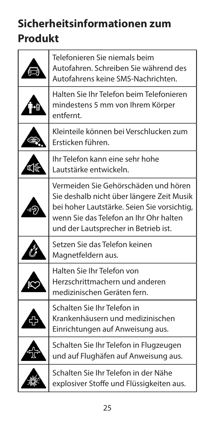## **Sicherheitsinformationen zum Produkt**

| Telefonieren Sie niemals beim<br>Autofahren. Schreiben Sie während des<br>Autofahrens keine SMS-Nachrichten.                                                                                                        |
|---------------------------------------------------------------------------------------------------------------------------------------------------------------------------------------------------------------------|
| Halten Sie Ihr Telefon beim Telefonieren<br>mindestens 5 mm von Ihrem Körper<br>entfernt                                                                                                                            |
| Kleinteile können bei Verschlucken zum<br>Ersticken führen.                                                                                                                                                         |
| Ihr Telefon kann eine sehr hohe<br>Lautstärke entwickeln.                                                                                                                                                           |
| Vermeiden Sie Gehörschäden und hören.<br>Sie deshalb nicht über längere Zeit Musik<br>bei hoher Lautstärke. Seien Sie vorsichtig,<br>wenn Sie das Telefon an Ihr Ohr halten<br>und der Lautsprecher in Betrieb ist. |
| Setzen Sie das Telefon keinen<br>Magnetfeldern aus.                                                                                                                                                                 |
| Halten Sie Ihr Telefon von<br>Herzschrittmachern und anderen<br>medizinischen Geräten fern.                                                                                                                         |
| Schalten Sie Ihr Telefon in<br>Krankenhäusern und medizinischen<br>Einrichtungen auf Anweisung aus.                                                                                                                 |
| Schalten Sie Ihr Telefon in Flugzeugen<br>und auf Flughäfen auf Anweisung aus.                                                                                                                                      |
| Schalten Sie Ihr Telefon in der Nähe<br>explosiver Stoffe und Flüssigkeiten aus.                                                                                                                                    |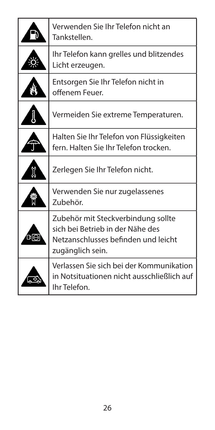|     | Verwenden Sie Ihr Telefon nicht an<br>Tankstellen.                                                                                |
|-----|-----------------------------------------------------------------------------------------------------------------------------------|
|     | Ihr Telefon kann grelles und blitzendes<br>Licht erzeugen.                                                                        |
|     | Entsorgen Sie Ihr Telefon nicht in<br>offenem Feuer.                                                                              |
|     | Vermeiden Sie extreme Temperaturen.                                                                                               |
|     | Halten Sie Ihr Telefon von Flüssigkeiten<br>fern. Halten Sie Ihr Telefon trocken.                                                 |
|     | Zerlegen Sie Ihr Telefon nicht.                                                                                                   |
|     | Verwenden Sie nur zugelassenes<br>Zubehör.                                                                                        |
| ঢ∣⊙ | Zubehör mit Steckverbindung sollte<br>sich bei Betrieb in der Nähe des<br>Netzanschlusses befinden und leicht<br>zugänglich sein. |
|     | Verlassen Sie sich bei der Kommunikation<br>in Notsituationen nicht ausschließlich auf<br>Ihr Telefon.                            |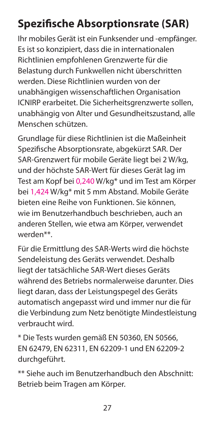## **Spezifische Absorptionsrate (SAR)**

Ihr mobiles Gerät ist ein Funksender und -empfänger. Es ist so konzipiert, dass die in internationalen Richtlinien empfohlenen Grenzwerte für die Belastung durch Funkwellen nicht überschritten werden. Diese Richtlinien wurden von der unabhängigen wissenschaftlichen Organisation ICNIRP erarbeitet. Die Sicherheitsgrenzwerte sollen, unabhängig von Alter und Gesundheitszustand, alle Menschen schützen.

Grundlage für diese Richtlinien ist die Maßeinheit Spezifische Absorptionsrate, abgekürzt SAR. Der SAR-Grenzwert für mobile Geräte liegt bei 2 W/kg, und der höchste SAR-Wert für dieses Gerät lag im Test am Kopf bei 0,240 W/kg\* und im Test am Körper bei 1,424 W/kg\* mit 5 mm Abstand. Mobile Geräte bieten eine Reihe von Funktionen. Sie können, wie im Benutzerhandbuch beschrieben, auch an anderen Stellen, wie etwa am Körper, verwendet werden\*\*.

Für die Ermittlung des SAR-Werts wird die höchste Sendeleistung des Geräts verwendet. Deshalb liegt der tatsächliche SAR-Wert dieses Geräts während des Betriebs normalerweise darunter. Dies liegt daran, dass der Leistungspegel des Geräts automatisch angepasst wird und immer nur die für die Verbindung zum Netz benötigte Mindestleistung verbraucht wird.

\* Die Tests wurden gemäß EN 50360, EN 50566, EN 62479, EN 62311, EN 62209-1 und EN 62209-2 durchgeführt.

\*\* Siehe auch im Benutzerhandbuch den Abschnitt: Betrieb beim Tragen am Körper.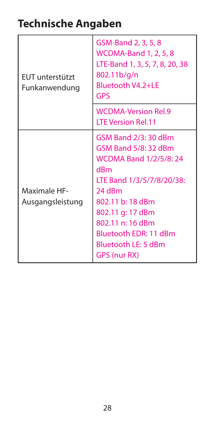## **Technische Angaben**

| FUT unterstützt<br>Funkanwendung | GSM-Band 2, 3, 5, 8<br><b>WCDMA-Band 1, 2, 5, 8</b><br>LTE-Band 1, 3, 5, 7, 8, 20, 38<br>802.11b/g/n<br>Bluetooth V4.2+LE<br>GPS                                                                                                                        |
|----------------------------------|---------------------------------------------------------------------------------------------------------------------------------------------------------------------------------------------------------------------------------------------------------|
|                                  | <b>WCDMA-Version Rel.9</b><br><b>LTE Version Rel.11</b>                                                                                                                                                                                                 |
| Maximale HF-<br>Ausgangsleistung | GSM Band 2/3: 30 dBm<br>GSM Band 5/8: 32 dBm<br><b>WCDMA Band 1/2/5/8: 24</b><br>dBm<br>LTE Band 1/3/5/7/8/20/38:<br>24 dBm<br>802.11 b: 18 dBm<br>802.11 g: 17 dBm<br>802.11 n: 16 dBm<br>Bluetooth EDR: 11 dBm<br>Bluetooth LE: 5 dBm<br>GPS (nur RX) |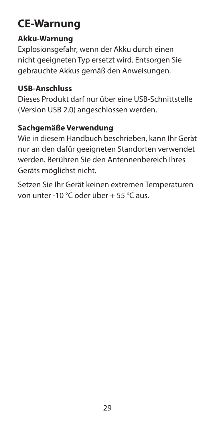## **CE-Warnung**

#### **Akku-Warnung**

Explosionsgefahr, wenn der Akku durch einen nicht geeigneten Typ ersetzt wird. Entsorgen Sie gebrauchte Akkus gemäß den Anweisungen.

#### **USB-Anschluss**

Dieses Produkt darf nur über eine USB-Schnittstelle (Version USB 2.0) angeschlossen werden.

#### **Sachgemäße Verwendung**

Wie in diesem Handbuch beschrieben, kann Ihr Gerät nur an den dafür geeigneten Standorten verwendet werden. Berühren Sie den Antennenbereich Ihres Geräts möglichst nicht.

Setzen Sie Ihr Gerät keinen extremen Temperaturen von unter -10 °C oder über + 55 °C aus.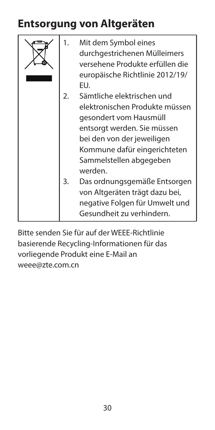## **Entsorgung von Altgeräten**

| 1.       | Mit dem Symbol eines<br>durchgestrichenen Mülleimers<br>versehene Produkte erfüllen die<br>europäische Richtlinie 2012/19/<br>EU.                                                                                                                                                                                                                         |
|----------|-----------------------------------------------------------------------------------------------------------------------------------------------------------------------------------------------------------------------------------------------------------------------------------------------------------------------------------------------------------|
| 2.<br>3. | Sämtliche elektrischen und<br>elektronischen Produkte müssen<br>gesondert vom Hausmüll<br>entsorgt werden. Sie müssen<br>bei den von der jeweiligen<br>Kommune dafür eingerichteten<br>Sammelstellen abgegeben<br>werden<br>Das ordnungsgemäße Entsorgen<br>von Altgeräten trägt dazu bei,<br>negative Folgen für Umwelt und<br>Gesundheit zu verhindern. |

Bitte senden Sie für auf der WEEE-Richtlinie basierende Recycling-Informationen für das vorliegende Produkt eine E-Mail an weee@zte.com.cn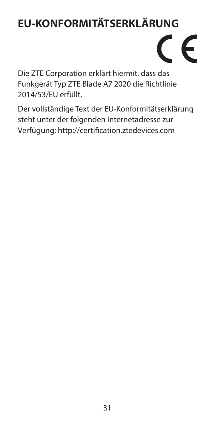## **EU-KONFORMITÄTSERKLÄRUNG**

# $\epsilon$

Die ZTE Corporation erklärt hiermit, dass das Funkgerät Typ ZTE Blade A7 2020 die Richtlinie 2014/53/EU erfüllt.

Der vollständige Text der EU-Konformitätserklärung steht unter der folgenden Internetadresse zur Verfügung: http://certification.ztedevices.com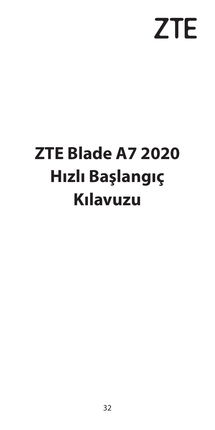# **ZTE**

# <span id="page-33-0"></span>**ZTE Blade A7 2020 Hızlı Başlangıç Kılavuzu**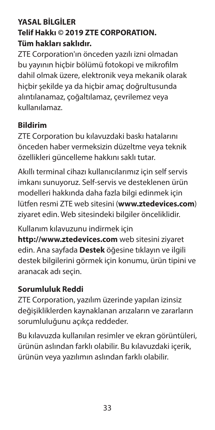#### **YASAL BİLGİLER Telif Hakkı © 2019 ZTE CORPORATION. Tüm hakları saklıdır.**

ZTE Corporation'ın önceden yazılı izni olmadan bu yayının hiçbir bölümü fotokopi ve mikrofilm dahil olmak üzere, elektronik veya mekanik olarak hiçbir şekilde ya da hiçbir amaç doğrultusunda alıntılanamaz, çoğaltılamaz, çevrilemez veya kullanılamaz.

#### **Bildirim**

ZTE Corporation bu kılavuzdaki baskı hatalarını önceden haber vermeksizin düzeltme veya teknik özellikleri güncelleme hakkını saklı tutar.

Akıllı terminal cihazı kullanıcılarımız için self servis imkanı sunuyoruz. Self-servis ve desteklenen ürün modelleri hakkında daha fazla bilgi edinmek için lütfen resmi ZTE web sitesini (**www.ztedevices.com**) ziyaret edin. Web sitesindeki bilgiler önceliklidir.

Kullanım kılavuzunu indirmek için

**http://www.ztedevices.com** web sitesini ziyaret edin. Ana sayfada **Destek** öğesine tıklayın ve ilgili destek bilgilerini görmek için konumu, ürün tipini ve aranacak adı seçin.

#### **Sorumluluk Reddi**

ZTE Corporation, yazılım üzerinde yapılan izinsiz değişikliklerden kaynaklanan arızaların ve zararların sorumluluğunu açıkça reddeder.

Bu kılavuzda kullanılan resimler ve ekran görüntüleri, ürünün aslından farklı olabilir. Bu kılavuzdaki içerik, ürünün veya yazılımın aslından farklı olabilir.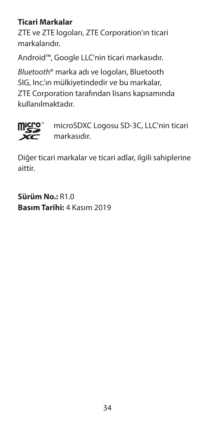#### **Ticari Markalar**

ZTE ve ZTE logoları, ZTE Corporation'ın ticari markalarıdır.

Android™, Google LLC'nin ticari markasıdır.

*Bluetooth*® marka adı ve logoları, Bluetooth SIG, Inc.'ın mülkiyetindedir ve bu markalar, ZTE Corporation tarafından lisans kapsamında kullanılmaktadır.



 microSDXC Logosu SD-3C, LLC'nin ticari markasıdır.

Diğer ticari markalar ve ticari adlar, ilgili sahiplerine aittir.

**Sürüm No.:** R1.0 **Basım Tarihi:** 4 Kasım 2019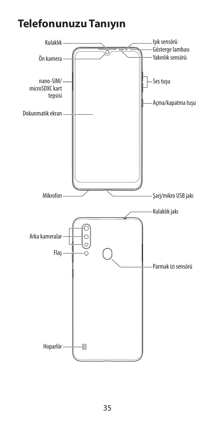#### **Telefonunuzu Tanıyın**

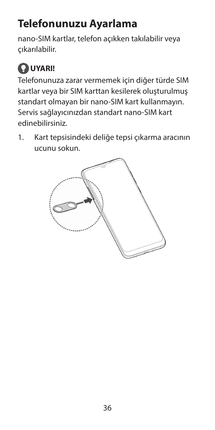## **Telefonunuzu Ayarlama**

nano-SIM kartlar, telefon açıkken takılabilir veya çıkarılabilir.

## **UYARI!**

Telefonunuza zarar vermemek için diğer türde SIM kartlar veya bir SIM karttan kesilerek oluşturulmuş standart olmayan bir nano-SIM kart kullanmayın. Servis sağlayıcınızdan standart nano-SIM kart edinebilirsiniz.

1. Kart tepsisindeki deliğe tepsi çıkarma aracının ucunu sokun.

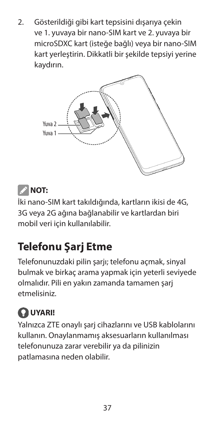2. Gösterildiği gibi kart tepsisini dışarıya çekin ve 1. yuvaya bir nano-SIM kart ve 2. yuvaya bir microSDXC kart (isteğe bağlı) veya bir nano-SIM kart yerleştirin. Dikkatli bir şekilde tepsiyi yerine kaydırın.



#### **NOT:**

İki nano-SIM kart takıldığında, kartların ikisi de 4G, 3G veya 2G ağına bağlanabilir ve kartlardan biri mobil veri için kullanılabilir.

#### **Telefonu Şarj Etme**

Telefonunuzdaki pilin şarjı; telefonu açmak, sinyal bulmak ve birkaç arama yapmak için yeterli seviyede olmalıdır. Pili en yakın zamanda tamamen şarj etmelisiniz.

## **UYARI!**

Yalnızca ZTE onaylı şarj cihazlarını ve USB kablolarını kullanın. Onaylanmamış aksesuarların kullanılması telefonunuza zarar verebilir ya da pilinizin patlamasına neden olabilir.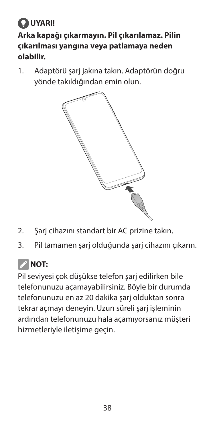#### **UYARI! Arka kapağı çıkarmayın. Pil çıkarılamaz. Pilin çıkarılması yangına veya patlamaya neden olabilir.**

1. Adaptörü şarj jakına takın. Adaptörün doğru yönde takıldığından emin olun.



- 2. Şarj cihazını standart bir AC prizine takın.
- 3. Pil tamamen şarj olduğunda şarj cihazını çıkarın.

#### *M* NOT:

Pil seviyesi çok düşükse telefon şarj edilirken bile telefonunuzu açamayabilirsiniz. Böyle bir durumda telefonunuzu en az 20 dakika şarj olduktan sonra tekrar açmayı deneyin. Uzun süreli şari işleminin ardından telefonunuzu hala açamıyorsanız müşteri hizmetleriyle iletişime geçin.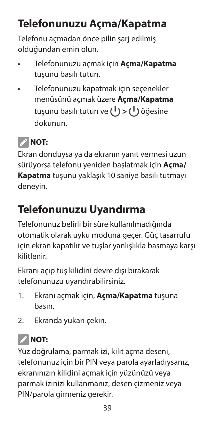## **Telefonunuzu Açma/Kapatma**

Telefonu açmadan önce pilin şarj edilmiş olduğundan emin olun.

- Telefonunuzu açmak için **Açma/Kapatma** tuşunu basılı tutun.
- Telefonunuzu kapatmak için seçenekler menüsünü açmak üzere **Açma/Kapatma** tusunu basılı tutun ve (<sup>|</sup>) > (<sup>|</sup>) öğesine dokunun.

#### *M* NOT:

Ekran donduysa ya da ekranın yanıt vermesi uzun sürüyorsa telefonu yeniden başlatmak için **Açma/ Kapatma** tuşunu yaklaşık 10 saniye basılı tutmayı deneyin.

#### **Telefonunuzu Uyandırma**

Telefonunuz belirli bir süre kullanılmadığında otomatik olarak uyku moduna geçer. Güç tasarrufu için ekran kapatılır ve tuşlar yanlışlıkla basmaya karşı kilitlenir.

Ekranı açıp tuş kilidini devre dışı bırakarak telefonunuzu uyandırabilirsiniz.

- 1. Ekranı açmak için, **Açma/Kapatma** tuşuna basın.
- 2. Ekranda yukarı çekin.

## **NOT:**

Yüz doğrulama, parmak izi, kilit açma deseni, telefonunuz için bir PIN veya parola ayarladıysanız, ekranınızın kilidini açmak için yüzünüzü veya parmak izinizi kullanmanız, desen çizmeniz veya PIN/parola girmeniz gerekir.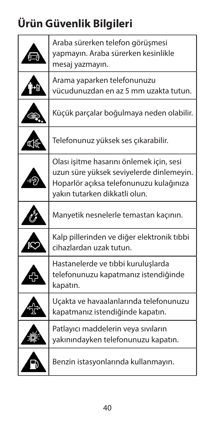## **Ürün Güvenlik Bilgileri**

| Araba sürerken telefon görüşmesi<br>yapmayın. Araba sürerken kesinlikle<br>mesaj yazmayın.                                                                       |
|------------------------------------------------------------------------------------------------------------------------------------------------------------------|
| Arama yaparken telefonunuzu<br>vücudunuzdan en az 5 mm uzakta tutun.                                                                                             |
| Küçük parçalar boğulmaya neden olabilir.                                                                                                                         |
| Telefonunuz yüksek ses çıkarabilir.                                                                                                                              |
| Olası işitme hasarını önlemek için, sesi<br>uzun süre yüksek seviyelerde dinlemeyin.<br>Hoparlör açıksa telefonunuzu kulağınıza<br>yakın tutarken dikkatli olun. |
| Manyetik nesnelerle temastan kaçının.                                                                                                                            |
| Kalp pillerinden ve diğer elektronik tıbbi<br>cihazlardan uzak tutun.                                                                                            |
| Hastanelerde ve tıbbi kuruluşlarda<br>telefonunuzu kapatmanız istendiğinde<br>kapatın.                                                                           |
| Uçakta ve havaalanlarında telefonunuzu<br>kapatmanız istendiğinde kapatın.                                                                                       |
| Patlayıcı maddelerin veya sıvıların<br>yakınındayken telefonunuzu kapatın.                                                                                       |
| Benzin istasyonlarında kullanmayın.                                                                                                                              |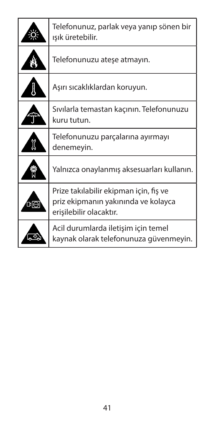|                 | Telefonunuz, parlak veya yanıp sönen bir<br>ışık üretebilir.                                             |
|-----------------|----------------------------------------------------------------------------------------------------------|
|                 | Telefonunuzu atese atmayın.                                                                              |
|                 | Aşırı sıcaklıklardan koruyun.                                                                            |
|                 | Sıvılarla temastan kaçının. Telefonunuzu<br>kuru tutun.                                                  |
|                 | Telefonunuzu parçalarına ayırmayı<br>denemeyin.                                                          |
|                 | Yalnızca onaylanmış aksesuarları kullanın.                                                               |
| $\overline{10}$ | Prize takılabilir ekipman için, fiş ve<br>priz ekipmanın yakınında ve kolayca<br>erisilebilir olacaktır. |
|                 | Acil durumlarda iletişim için temel<br>kaynak olarak telefonunuza güvenmeyin.                            |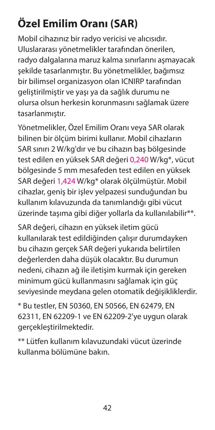## **Özel Emilim Oranı (SAR)**

Mobil cihazınız bir radyo vericisi ve alıcısıdır. Uluslararası yönetmelikler tarafından önerilen, radyo dalgalarına maruz kalma sınırlarını aşmayacak şekilde tasarlanmıştır. Bu yönetmelikler, bağımsız bir bilimsel organizasyon olan ICNIRP tarafından geliştirilmiştir ve yaşı ya da sağlık durumu ne olursa olsun herkesin korunmasını sağlamak üzere tasarlanmıştır.

Yönetmelikler, Özel Emilim Oranı veya SAR olarak bilinen bir ölçüm birimi kullanır. Mobil cihazların SAR sınırı 2 W/kg'dır ve bu cihazın baş bölgesinde test edilen en yüksek SAR değeri 0,240 W/kg\*, vücut bölgesinde 5 mm mesafeden test edilen en yüksek SAR değeri 1,424 W/kg\* olarak ölçülmüştür. Mobil cihazlar, geniş bir işlev yelpazesi sunduğundan bu kullanım kılavuzunda da tanımlandığı gibi vücut üzerinde taşıma gibi diğer yollarla da kullanılabilir\*\*.

SAR değeri, cihazın en yüksek iletim gücü kullanılarak test edildiğinden çalışır durumdayken bu cihazın gerçek SAR değeri yukarıda belirtilen değerlerden daha düşük olacaktır. Bu durumun nedeni, cihazın ağ ile iletişim kurmak için gereken minimum gücü kullanmasını sağlamak için güç seviyesinde meydana gelen otomatik değişikliklerdir.

\* Bu testler, EN 50360, EN 50566, EN 62479, EN 62311, EN 62209-1 ve EN 62209-2'ye uygun olarak gerçekleştirilmektedir.

\*\* Lütfen kullanım kılavuzundaki vücut üzerinde kullanma bölümüne bakın.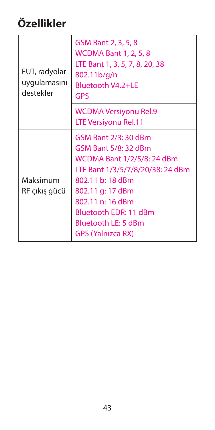## **Özellikler**

| EUT, radyolar<br>uygulamasını<br>destekler | GSM Bant 2, 3, 5, 8<br><b>WCDMA Bant 1, 2, 5, 8</b><br>LTE Bant 1, 3, 5, 7, 8, 20, 38<br>802.11b/g/n<br>Bluetooth V4.2+LE<br><b>GPS</b>                                                                                                                |
|--------------------------------------------|--------------------------------------------------------------------------------------------------------------------------------------------------------------------------------------------------------------------------------------------------------|
|                                            | <b>WCDMA Versiyonu Rel.9</b><br>LTE Versiyonu Rel.11                                                                                                                                                                                                   |
| Maksimum<br>RF çıkış gücü                  | GSM Bant 2/3: 30 dBm<br>GSM Bant 5/8: 32 dBm<br>WCDMA Bant 1/2/5/8: 24 dBm<br>LTE Bant 1/3/5/7/8/20/38: 24 dBm<br>802.11 b: 18 dBm<br>802.11 g: 17 dBm<br>802.11 n: 16 dBm<br>Bluetooth EDR: 11 dBm<br>Bluetooth LE: 5 dBm<br><b>GPS (Yalnizca RX)</b> |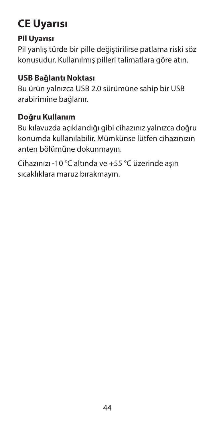#### **CE Uyarısı**

#### **Pil Uyarısı**

Pil yanlış türde bir pille değiştirilirse patlama riski söz konusudur. Kullanılmış pilleri talimatlara göre atın.

#### **USB Bağlantı Noktası**

Bu ürün yalnızca USB 2.0 sürümüne sahip bir USB arabirimine bağlanır.

#### **Doğru Kullanım**

Bu kılavuzda açıklandığı gibi cihazınız yalnızca doğru konumda kullanılabilir. Mümkünse lütfen cihazınızın anten bölümüne dokunmayın.

Cihazınızı -10 °C altında ve +55 °C üzerinde aşırı sıcaklıklara maruz bırakmayın.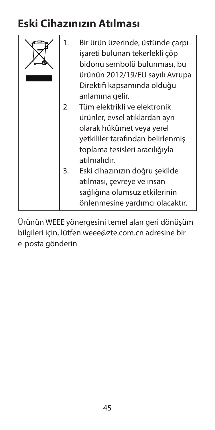#### **Eski Cihazınızın Atılması**

|    | Bir ürün üzerinde, üstünde çarpı<br>isareti bulunan tekerlekli çöp<br>bidonu sembolü bulunması, bu<br>ürünün 2012/19/EU sayılı Avrupa<br>Direktifi kapsamında olduğu |
|----|----------------------------------------------------------------------------------------------------------------------------------------------------------------------|
| 2. | anlamına gelir.<br>Tüm elektrikli ve elektronik                                                                                                                      |
|    |                                                                                                                                                                      |
|    | ürünler, evsel atıklardan ayrı                                                                                                                                       |
|    | olarak hükümet veya yerel                                                                                                                                            |
|    | yetkililer tarafından belirlenmiş                                                                                                                                    |
|    | toplama tesisleri aracılığıyla                                                                                                                                       |
|    | atılmalıdır.                                                                                                                                                         |
| 3. | Eski cihazınızın doğru şekilde                                                                                                                                       |
|    | atılması, çevreye ve insan                                                                                                                                           |
|    | sağlığına olumsuz etkilerinin                                                                                                                                        |
|    | önlenmesine yardımcı olacaktır.                                                                                                                                      |

Ürünün WEEE yönergesini temel alan geri dönüşüm bilgileri için, lütfen weee@zte.com.cn adresine bir e-posta gönderin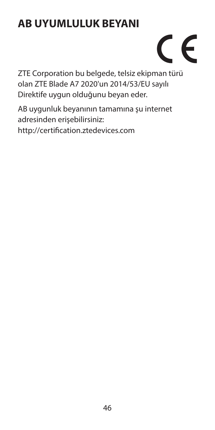#### **AB UYUMLULUK BEYANI**

# $\epsilon$

ZTE Corporation bu belgede, telsiz ekipman türü olan ZTE Blade A7 2020'un 2014/53/EU sayılı Direktife uygun olduğunu beyan eder.

AB uygunluk beyanının tamamına şu internet adresinden erişebilirsiniz: http://certification.ztedevices.com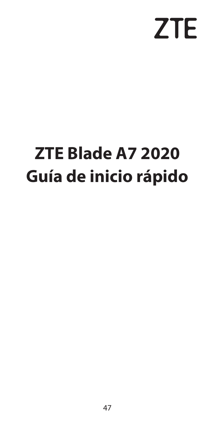# **ZTE**

## **ZTE Blade A7 2020 Guía de inicio rápido**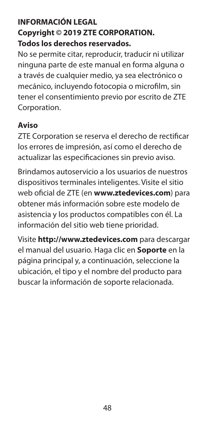#### **INFORMACIÓN LEGAL Copyright © 2019 ZTE CORPORATION. Todos los derechos reservados.**

No se permite citar, reproducir, traducir ni utilizar ninguna parte de este manual en forma alguna o a través de cualquier medio, ya sea electrónico o mecánico, incluyendo fotocopia o microfilm, sin tener el consentimiento previo por escrito de ZTE Corporation

#### **Aviso**

ZTE Corporation se reserva el derecho de rectificar los errores de impresión, así como el derecho de actualizar las especificaciones sin previo aviso.

Brindamos autoservicio a los usuarios de nuestros dispositivos terminales inteligentes. Visite el sitio web oficial de ZTE (en **www.ztedevices.com**) para obtener más información sobre este modelo de asistencia y los productos compatibles con él. La información del sitio web tiene prioridad.

Visite **http://www.ztedevices.com** para descargar el manual del usuario. Haga clic en **Soporte** en la página principal y, a continuación, seleccione la ubicación, el tipo y el nombre del producto para buscar la información de soporte relacionada.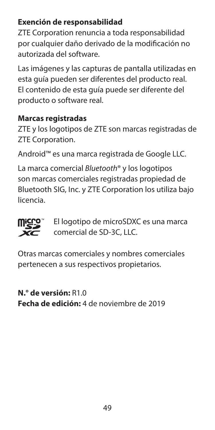#### **Exención de responsabilidad**

ZTE Corporation renuncia a toda responsabilidad por cualquier daño derivado de la modificación no autorizada del software.

Las imágenes y las capturas de pantalla utilizadas en esta guía pueden ser diferentes del producto real. El contenido de esta guía puede ser diferente del producto o software real.

#### **Marcas registradas**

ZTE y los logotipos de ZTE son marcas registradas de ZTE Corporation.

Android™ es una marca registrada de Google LLC.

La marca comercial *Bluetooth*® y los logotipos son marcas comerciales registradas propiedad de Bluetooth SIG, Inc. y ZTE Corporation los utiliza bajo licencia.



 El logotipo de microSDXC es una marca comercial de SD-3C, LLC.

Otras marcas comerciales y nombres comerciales pertenecen a sus respectivos propietarios.

**N.° de versión:** R1.0 **Fecha de edición:** 4 de noviembre de 2019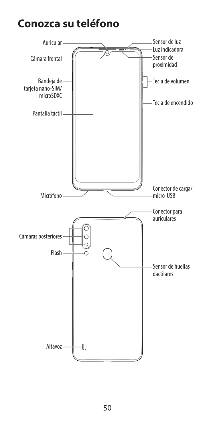#### **Conozca su teléfono**

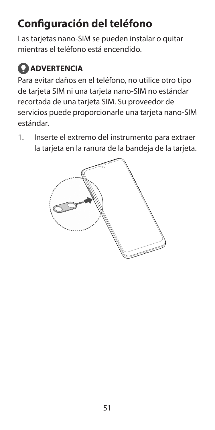## **Configuración del teléfono**

Las tarjetas nano-SIM se pueden instalar o quitar mientras el teléfono está encendido.

#### **ADVERTENCIA**

Para evitar daños en el teléfono, no utilice otro tipo de tarjeta SIM ni una tarjeta nano-SIM no estándar recortada de una tarjeta SIM. Su proveedor de servicios puede proporcionarle una tarjeta nano-SIM estándar.

1. Inserte el extremo del instrumento para extraer la tarjeta en la ranura de la bandeja de la tarjeta.

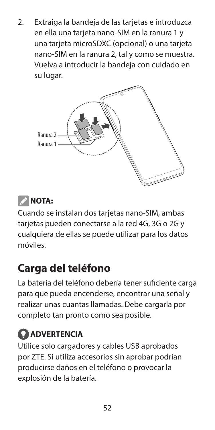2. Extraiga la bandeja de las tarjetas e introduzca en ella una tarjeta nano-SIM en la ranura 1 y una tarjeta microSDXC (opcional) o una tarjeta nano-SIM en la ranura 2, tal y como se muestra. Vuelva a introducir la bandeja con cuidado en su lugar.





Cuando se instalan dos tarjetas nano-SIM, ambas tarjetas pueden conectarse a la red 4G, 3G o 2G y cualquiera de ellas se puede utilizar para los datos móviles.

#### **Carga del teléfono**

La batería del teléfono debería tener suficiente carga para que pueda encenderse, encontrar una señal y realizar unas cuantas llamadas. Debe cargarla por completo tan pronto como sea posible.

#### **ADVERTENCIA**

Utilice solo cargadores y cables USB aprobados por ZTE. Si utiliza accesorios sin aprobar podrían producirse daños en el teléfono o provocar la explosión de la batería.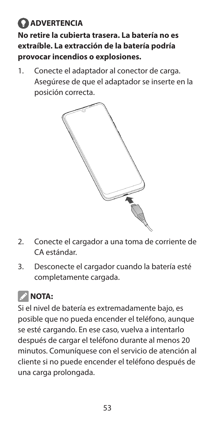#### **ADVERTENCIA No retire la cubierta trasera. La batería no es extraíble. La extracción de la batería podría provocar incendios o explosiones.**

1. Conecte el adaptador al conector de carga. Asegúrese de que el adaptador se inserte en la posición correcta.



- 2. Conecte el cargador a una toma de corriente de CA estándar.
- 3. Desconecte el cargador cuando la batería esté completamente cargada.

## **NOTA:**

Si el nivel de batería es extremadamente bajo, es posible que no pueda encender el teléfono, aunque se esté cargando. En ese caso, vuelva a intentarlo después de cargar el teléfono durante al menos 20 minutos. Comuníquese con el servicio de atención al cliente si no puede encender el teléfono después de una carga prolongada.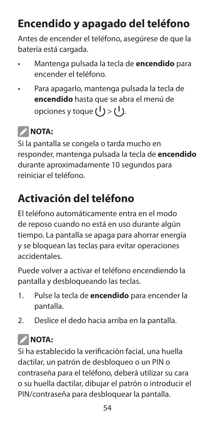## **Encendido y apagado del teléfono**

Antes de encender el teléfono, asegúrese de que la batería está cargada.

- Mantenga pulsada la tecla de **encendido** para encender el teléfono.
- Para apagarlo, mantenga pulsada la tecla de **encendido** hasta que se abra el menú de opciones y toque  $(1)$  >  $(1)$ .

#### *NOTA:*

Si la pantalla se congela o tarda mucho en responder, mantenga pulsada la tecla de **encendido** durante aproximadamente 10 segundos para reiniciar el teléfono.

#### **Activación del teléfono**

El teléfono automáticamente entra en el modo de reposo cuando no está en uso durante algún tiempo. La pantalla se apaga para ahorrar energía y se bloquean las teclas para evitar operaciones accidentales.

Puede volver a activar el teléfono encendiendo la pantalla y desbloqueando las teclas.

- 1. Pulse la tecla de **encendido** para encender la pantalla.
- 2. Deslice el dedo hacia arriba en la pantalla.

## *NOTA:*

Si ha establecido la verificación facial, una huella dactilar, un patrón de desbloqueo o un PIN o contraseña para el teléfono, deberá utilizar su cara o su huella dactilar, dibujar el patrón o introducir el PIN/contraseña para desbloquear la pantalla.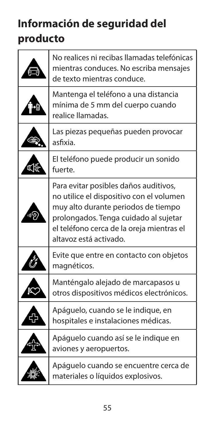## **Información de seguridad del producto**

| No realices ni recibas llamadas telefónicas<br>mientras conduces. No escriba mensajes<br>de texto mientras conduce.                                                                                                                      |
|------------------------------------------------------------------------------------------------------------------------------------------------------------------------------------------------------------------------------------------|
| Mantenga el teléfono a una distancia<br>mínima de 5 mm del cuerpo cuando<br>realice llamadas.                                                                                                                                            |
| Las piezas pequeñas pueden provocar<br>asfixia.                                                                                                                                                                                          |
| El teléfono puede producir un sonido<br>fuerte.                                                                                                                                                                                          |
| Para evitar posibles daños auditivos,<br>no utilice el dispositivo con el volumen<br>muy alto durante periodos de tiempo<br>prolongados. Tenga cuidado al sujetar<br>el teléfono cerca de la oreja mientras el<br>altavoz está activado. |
| Evite que entre en contacto con objetos<br>magnéticos.                                                                                                                                                                                   |
| Manténgalo alejado de marcapasos u<br>otros dispositivos médicos electrónicos.                                                                                                                                                           |
| Apáguelo, cuando se le indique, en<br>hospitales e instalaciones médicas.                                                                                                                                                                |
| Apáguelo cuando así se le indique en<br>aviones y aeropuertos.                                                                                                                                                                           |
| Apáguelo cuando se encuentre cerca de<br>materiales o líquidos explosivos.                                                                                                                                                               |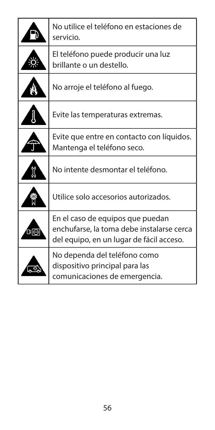| No utilice el teléfono en estaciones de<br>servicio.                                                                      |
|---------------------------------------------------------------------------------------------------------------------------|
| El teléfono puede producir una luz<br>brillante o un destello.                                                            |
| No arroje el teléfono al fuego.                                                                                           |
| Evite las temperaturas extremas.                                                                                          |
| Evite que entre en contacto con líquidos.<br>Mantenga el teléfono seco.                                                   |
| No intente desmontar el teléfono.                                                                                         |
| Utilice solo accesorios autorizados.                                                                                      |
| En el caso de equipos que puedan<br>enchufarse, la toma debe instalarse cerca<br>del equipo, en un lugar de fácil acceso. |
| No dependa del teléfono como<br>dispositivo principal para las<br>comunicaciones de emergencia.                           |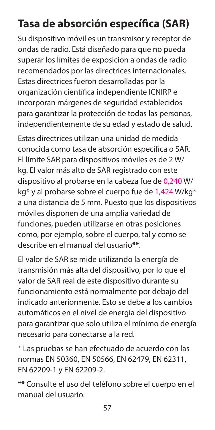#### **Tasa de absorción específica (SAR)**

Su dispositivo móvil es un transmisor y receptor de ondas de radio. Está diseñado para que no pueda superar los límites de exposición a ondas de radio recomendados por las directrices internacionales. Estas directrices fueron desarrolladas por la organización científica independiente ICNIRP e incorporan márgenes de seguridad establecidos para garantizar la protección de todas las personas, independientemente de su edad y estado de salud.

Estas directrices utilizan una unidad de medida conocida como tasa de absorción específica o SAR. El límite SAR para dispositivos móviles es de 2 W/ kg. El valor más alto de SAR registrado con este dispositivo al probarse en la cabeza fue de 0,240 W/ kg\* y al probarse sobre el cuerpo fue de 1,424 W/kg\* a una distancia de 5 mm. Puesto que los dispositivos móviles disponen de una amplia variedad de funciones, pueden utilizarse en otras posiciones como, por ejemplo, sobre el cuerpo, tal y como se describe en el manual del usuario\*\*.

El valor de SAR se mide utilizando la energía de transmisión más alta del dispositivo, por lo que el valor de SAR real de este dispositivo durante su funcionamiento está normalmente por debajo del indicado anteriormente. Esto se debe a los cambios automáticos en el nivel de energía del dispositivo para garantizar que solo utiliza el mínimo de energía necesario para conectarse a la red.

\* Las pruebas se han efectuado de acuerdo con las normas EN 50360, EN 50566, EN 62479, EN 62311, EN 62209-1 y EN 62209-2.

\*\* Consulte el uso del teléfono sobre el cuerpo en el manual del usuario.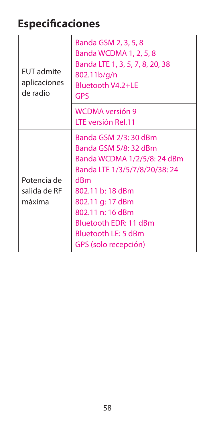#### **Especificaciones**

| <b>EUT</b> admite<br>aplicaciones<br>de radio | Banda GSM 2, 3, 5, 8<br>Banda WCDMA 1, 2, 5, 8<br>Banda LTE 1, 3, 5, 7, 8, 20, 38<br>802.11b/g/n<br>Bluetooth V4.2+LE<br>GPS                                                                                                                             |
|-----------------------------------------------|----------------------------------------------------------------------------------------------------------------------------------------------------------------------------------------------------------------------------------------------------------|
|                                               | <b>WCDMA</b> versión 9<br>LTE versión Rel.11                                                                                                                                                                                                             |
| Potencia de<br>salida de RF<br>máxima         | Banda GSM 2/3: 30 dBm<br>Banda GSM 5/8: 32 dBm<br>Banda WCDMA 1/2/5/8: 24 dBm<br>Banda LTE 1/3/5/7/8/20/38:24<br>dRm<br>802.11 b: 18 dBm<br>802.11 g: 17 dBm<br>802.11 n: 16 dBm<br>Bluetooth EDR: 11 dBm<br>Bluetooth LE: 5 dBm<br>GPS (solo recepción) |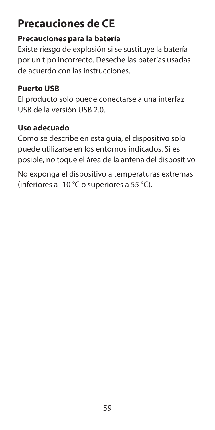#### **Precauciones de CE**

#### **Precauciones para la batería**

Existe riesgo de explosión si se sustituye la batería por un tipo incorrecto. Deseche las baterías usadas de acuerdo con las instrucciones.

#### **Puerto USB**

El producto solo puede conectarse a una interfaz USB de la versión USB 2.0.

#### **Uso adecuado**

Como se describe en esta guía, el dispositivo solo puede utilizarse en los entornos indicados. Si es posible, no toque el área de la antena del dispositivo.

No exponga el dispositivo a temperaturas extremas (inferiores a -10 °C o superiores a 55 °C).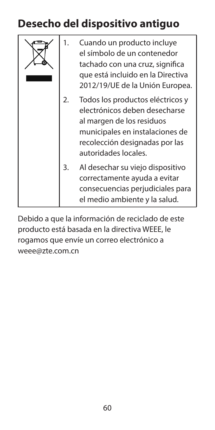#### **Desecho del dispositivo antiguo**

|  |    | Cuando un producto incluye<br>el símbolo de un contenedor<br>tachado con una cruz, significa<br>que está incluido en la Directiva<br>2012/19/UE de la Unión Europea.                        |
|--|----|---------------------------------------------------------------------------------------------------------------------------------------------------------------------------------------------|
|  | 2. | Todos los productos eléctricos y<br>electrónicos deben desecharse<br>al margen de los residuos<br>municipales en instalaciones de<br>recolección designadas por las<br>autoridades locales. |
|  | 3. | Al desechar su viejo dispositivo<br>correctamente ayuda a evitar<br>consecuencias perjudiciales para<br>el medio ambiente y la salud.                                                       |

Debido a que la información de reciclado de este producto está basada en la directiva WEEE, le rogamos que envíe un correo electrónico a weee@zte.com.cn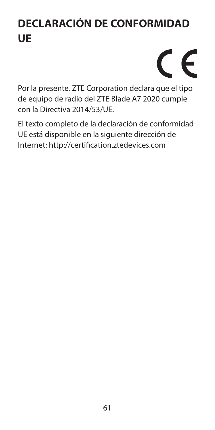## **DECLARACIÓN DE CONFORMIDAD UE**

# $\epsilon$

Por la presente, ZTE Corporation declara que el tipo de equipo de radio del ZTE Blade A7 2020 cumple con la Directiva 2014/53/UE.

El texto completo de la declaración de conformidad UE está disponible en la siguiente dirección de Internet: http://certification.ztedevices.com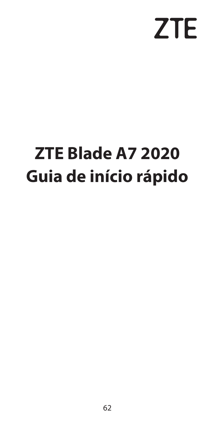# **ZTE**

## **ZTE Blade A7 2020 Guia de início rápido**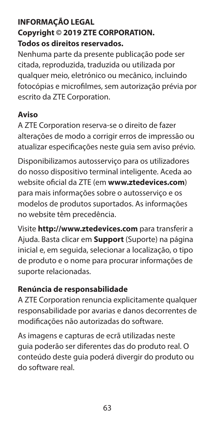#### **INFORMAÇÃO LEGAL Copyright © 2019 ZTE CORPORATION. Todos os direitos reservados.**

Nenhuma parte da presente publicação pode ser citada, reproduzida, traduzida ou utilizada por qualquer meio, eletrónico ou mecânico, incluindo fotocópias e microfilmes, sem autorização prévia por escrito da ZTE Corporation.

#### **Aviso**

A ZTE Corporation reserva-se o direito de fazer alterações de modo a corrigir erros de impressão ou atualizar especificações neste guia sem aviso prévio.

Disponibilizamos autosserviço para os utilizadores do nosso dispositivo terminal inteligente. Aceda ao website oficial da ZTE (em **www.ztedevices.com**) para mais informações sobre o autosserviço e os modelos de produtos suportados. As informações no website têm precedência.

Visite **http://www.ztedevices.com** para transferir a Ajuda. Basta clicar em **Support** (Suporte) na página inicial e, em seguida, selecionar a localização, o tipo de produto e o nome para procurar informações de suporte relacionadas.

#### **Renúncia de responsabilidade**

A ZTE Corporation renuncia explicitamente qualquer responsabilidade por avarias e danos decorrentes de modificações não autorizadas do software.

As imagens e capturas de ecrã utilizadas neste guia poderão ser diferentes das do produto real. O conteúdo deste guia poderá divergir do produto ou do software real.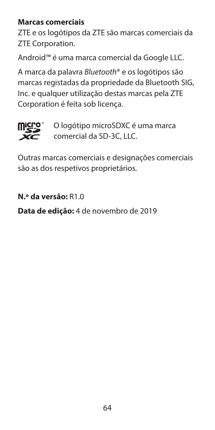#### **Marcas comerciais**

ZTE e os logótipos da ZTE são marcas comerciais da ZTE Corporation.

Android™ é uma marca comercial da Google LLC.

A marca da palavra *Bluetooth*® e os logótipos são marcas registadas da propriedade da Bluetooth SIG, Inc. e qualquer utilização destas marcas pela ZTE Corporation é feita sob licença.



 O logótipo microSDXC é uma marca comercial da SD-3C, LLC.

Outras marcas comerciais e designações comerciais são as dos respetivos proprietários.

**N.º da versão:** R1.0

**Data de edição:** 4 de novembro de 2019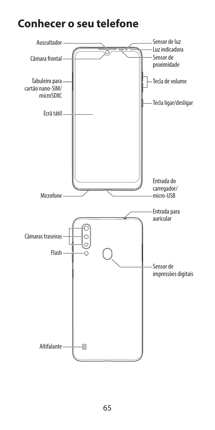#### **Conhecer o seu telefone**

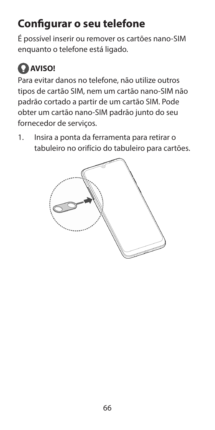## **Configurar o seu telefone**

É possível inserir ou remover os cartões nano-SIM enquanto o telefone está ligado.

## **AVISO!**

Para evitar danos no telefone, não utilize outros tipos de cartão SIM, nem um cartão nano-SIM não padrão cortado a partir de um cartão SIM. Pode obter um cartão nano-SIM padrão junto do seu fornecedor de serviços.

1. Insira a ponta da ferramenta para retirar o tabuleiro no orifício do tabuleiro para cartões.

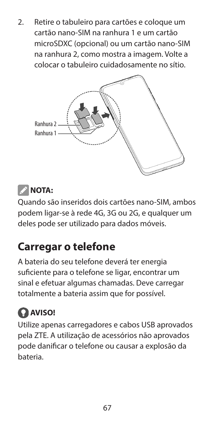2. Retire o tabuleiro para cartões e coloque um cartão nano-SIM na ranhura 1 e um cartão microSDXC (opcional) ou um cartão nano-SIM na ranhura 2, como mostra a imagem. Volte a colocar o tabuleiro cuidadosamente no sítio.



#### *NOTA:*

Quando são inseridos dois cartões nano-SIM, ambos podem ligar-se à rede 4G, 3G ou 2G, e qualquer um deles pode ser utilizado para dados móveis.

#### **Carregar o telefone**

A bateria do seu telefone deverá ter energia suficiente para o telefone se ligar, encontrar um sinal e efetuar algumas chamadas. Deve carregar totalmente a bateria assim que for possível.

#### **AVISO!**

Utilize apenas carregadores e cabos USB aprovados pela ZTE. A utilização de acessórios não aprovados pode danificar o telefone ou causar a explosão da bateria.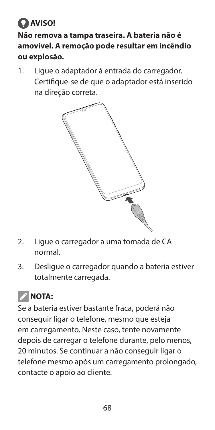#### **AVISO! Não remova a tampa traseira. A bateria não é amovível. A remoção pode resultar em incêndio ou explosão.**

1. Ligue o adaptador à entrada do carregador. Certifique-se de que o adaptador está inserido na direção correta.



- 2. Ligue o carregador a uma tomada de CA normal.
- 3. Desligue o carregador quando a bateria estiver totalmente carregada.

## **NOTA:**

Se a bateria estiver bastante fraca, poderá não conseguir ligar o telefone, mesmo que esteja em carregamento. Neste caso, tente novamente depois de carregar o telefone durante, pelo menos, 20 minutos. Se continuar a não conseguir ligar o telefone mesmo após um carregamento prolongado, contacte o apoio ao cliente.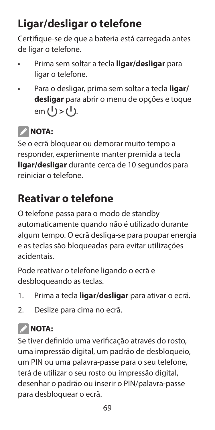## **Ligar/desligar o telefone**

Certifique-se de que a bateria está carregada antes de ligar o telefone.

- Prima sem soltar a tecla **ligar/desligar** para ligar o telefone.
- Para o desligar, prima sem soltar a tecla **ligar/ desligar** para abrir o menu de opções e toque em (<sup>1</sup>) > (<sup>1</sup>).

#### *NOTA:*

Se o ecrã bloquear ou demorar muito tempo a responder, experimente manter premida a tecla **ligar/desligar** durante cerca de 10 segundos para reiniciar o telefone.

#### **Reativar o telefone**

O telefone passa para o modo de standby automaticamente quando não é utilizado durante algum tempo. O ecrã desliga-se para poupar energia e as teclas são bloqueadas para evitar utilizações acidentais.

Pode reativar o telefone ligando o ecrã e desbloqueando as teclas.

- 1. Prima a tecla **ligar/desligar** para ativar o ecrã.
- 2. Deslize para cima no ecrã.

#### **2** NOTA:

Se tiver definido uma verificação através do rosto, uma impressão digital, um padrão de desbloqueio, um PIN ou uma palavra-passe para o seu telefone, terá de utilizar o seu rosto ou impressão digital, desenhar o padrão ou inserir o PIN/palavra-passe para desbloquear o ecrã.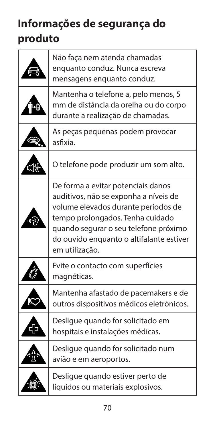## **Informações de segurança do produto**

| Não faça nem atenda chamadas<br>enquanto conduz. Nunca escreva<br>mensagens enquanto conduz.                                                                                                                                                                  |
|---------------------------------------------------------------------------------------------------------------------------------------------------------------------------------------------------------------------------------------------------------------|
| Mantenha o telefone a, pelo menos, 5<br>mm de distância da orelha ou do corpo<br>durante a realização de chamadas.                                                                                                                                            |
| As peças pequenas podem provocar<br>asfixia.                                                                                                                                                                                                                  |
| O telefone pode produzir um som alto.                                                                                                                                                                                                                         |
| De forma a evitar potenciais danos<br>auditivos, não se exponha a níveis de<br>volume elevados durante períodos de<br>tempo prolongados. Tenha cuidado<br>quando segurar o seu telefone próximo<br>do ouvido enquanto o altifalante estiver<br>em utilização. |
| Evite o contacto com superfícies<br>magnéticas.                                                                                                                                                                                                               |
| Mantenha afastado de pacemakers e de<br>outros dispositivos médicos eletrónicos.                                                                                                                                                                              |
| Desligue quando for solicitado em<br>hospitais e instalações médicas.                                                                                                                                                                                         |
| Deslique quando for solicitado num<br>avião e em aeroportos.                                                                                                                                                                                                  |
| Desligue quando estiver perto de<br>líquidos ou materiais explosivos.                                                                                                                                                                                         |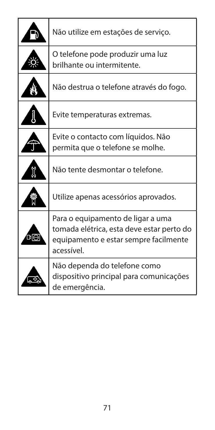|    | Não utilize em estações de serviço.                                                                                                   |
|----|---------------------------------------------------------------------------------------------------------------------------------------|
|    | O telefone pode produzir uma luz<br>brilhante ou intermitente.                                                                        |
|    | Não destrua o telefone através do fogo.                                                                                               |
|    | Evite temperaturas extremas.                                                                                                          |
|    | Evite o contacto com líquidos. Não<br>permita que o telefone se molhe.                                                                |
|    | Não tente desmontar o telefone.                                                                                                       |
|    | Utilize apenas acessórios aprovados.                                                                                                  |
| υo | Para o equipamento de ligar a uma<br>tomada elétrica, esta deve estar perto do<br>equipamento e estar sempre facilmente<br>acessível. |
|    | Não dependa do telefone como<br>dispositivo principal para comunicações<br>de emergência.                                             |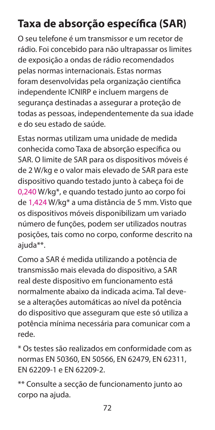## **Taxa de absorção específica (SAR)**

O seu telefone é um transmissor e um recetor de rádio. Foi concebido para não ultrapassar os limites de exposição a ondas de rádio recomendados pelas normas internacionais. Estas normas foram desenvolvidas pela organização científica independente ICNIRP e incluem margens de segurança destinadas a assegurar a proteção de todas as pessoas, independentemente da sua idade e do seu estado de saúde.

Estas normas utilizam uma unidade de medida conhecida como Taxa de absorção específica ou SAR. O limite de SAR para os dispositivos móveis é de 2 W/kg e o valor mais elevado de SAR para este dispositivo quando testado junto à cabeça foi de 0,240 W/kg\*, e quando testado junto ao corpo foi de 1,424 W/kg\* a uma distância de 5 mm. Visto que os dispositivos móveis disponibilizam um variado número de funções, podem ser utilizados noutras posições, tais como no corpo, conforme descrito na ajuda\*\*.

Como a SAR é medida utilizando a potência de transmissão mais elevada do dispositivo, a SAR real deste dispositivo em funcionamento está normalmente abaixo da indicada acima. Tal devese a alterações automáticas ao nível da potência do dispositivo que asseguram que este só utiliza a potência mínima necessária para comunicar com a rede.

\* Os testes são realizados em conformidade com as normas EN 50360, EN 50566, EN 62479, EN 62311, EN 62209-1 e EN 62209-2.

\*\* Consulte a secção de funcionamento junto ao corpo na ajuda.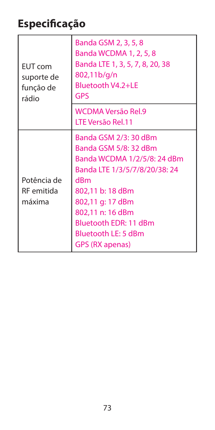## **Especificação**

| <b>EUT</b> com<br>suporte de<br>função de<br>rádio | Banda GSM 2, 3, 5, 8<br>Banda WCDMA 1, 2, 5, 8<br>Banda LTE 1, 3, 5, 7, 8, 20, 38<br>802,11b/g/n<br>Bluetooth V4.2+LE<br>GPS                                                                                                                                |
|----------------------------------------------------|-------------------------------------------------------------------------------------------------------------------------------------------------------------------------------------------------------------------------------------------------------------|
|                                                    | WCDMA Versão Rel.9<br>LTE Versão Rel.11                                                                                                                                                                                                                     |
| Potência de<br>RF emitida<br>máxima                | Banda GSM 2/3: 30 dBm<br>Banda GSM 5/8: 32 dBm<br>Banda WCDMA 1/2/5/8: 24 dBm<br>Banda LTE 1/3/5/7/8/20/38: 24<br>dRm<br>802,11 b: 18 dBm<br>802,11 g: 17 dBm<br>802,11 n: 16 dBm<br>Bluetooth EDR: 11 dBm<br>Bluetooth LE: 5 dBm<br><b>GPS (RX apenas)</b> |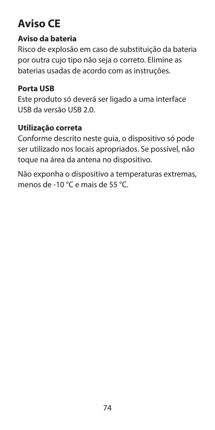## **Aviso CE**

#### **Aviso da bateria**

Risco de explosão em caso de substituição da bateria por outra cujo tipo não seja o correto. Elimine as baterias usadas de acordo com as instruções.

#### **Porta USB**

Este produto só deverá ser ligado a uma interface USB da versão USB 2.0.

#### **Utilização correta**

Conforme descrito neste guia, o dispositivo só pode ser utilizado nos locais apropriados. Se possível, não toque na área da antena no dispositivo.

Não exponha o dispositivo a temperaturas extremas, menos de -10 °C e mais de 55 °C.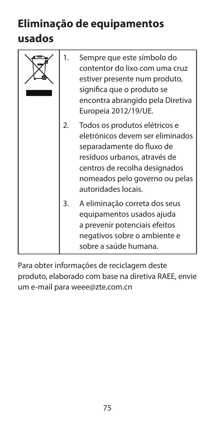## **Eliminação de equipamentos**

### **usados**

|  | 1. | Sempre que este símbolo do<br>contentor do lixo com uma cruz<br>estiver presente num produto,<br>significa que o produto se<br>encontra abrangido pela Diretiva<br>Europeia 2012/19/UE.                                  |
|--|----|--------------------------------------------------------------------------------------------------------------------------------------------------------------------------------------------------------------------------|
|  | 2. | Todos os produtos elétricos e<br>eletrónicos devem ser eliminados<br>separadamente do fluxo de<br>resíduos urbanos, através de<br>centros de recolha designados<br>nomeados pelo governo ou pelas<br>autoridades locais. |
|  | 3. | A eliminação correta dos seus<br>equipamentos usados ajuda<br>a prevenir potenciais efeitos<br>negativos sobre o ambiente e<br>sobre a saúde humana.                                                                     |

Para obter informações de reciclagem deste produto, elaborado com base na diretiva RAEE, envie um e-mail para weee@zte.com.cn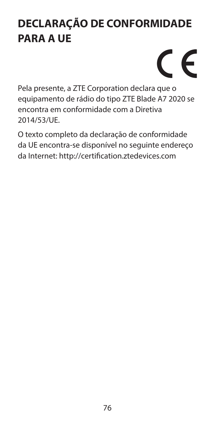## **DECLARAÇÃO DE CONFORMIDADE PARA A UE**

# $\epsilon$

Pela presente, a ZTE Corporation declara que o equipamento de rádio do tipo ZTE Blade A7 2020 se encontra em conformidade com a Diretiva 2014/53/UE.

O texto completo da declaração de conformidade da UE encontra-se disponível no seguinte endereço da Internet: http://certification.ztedevices.com